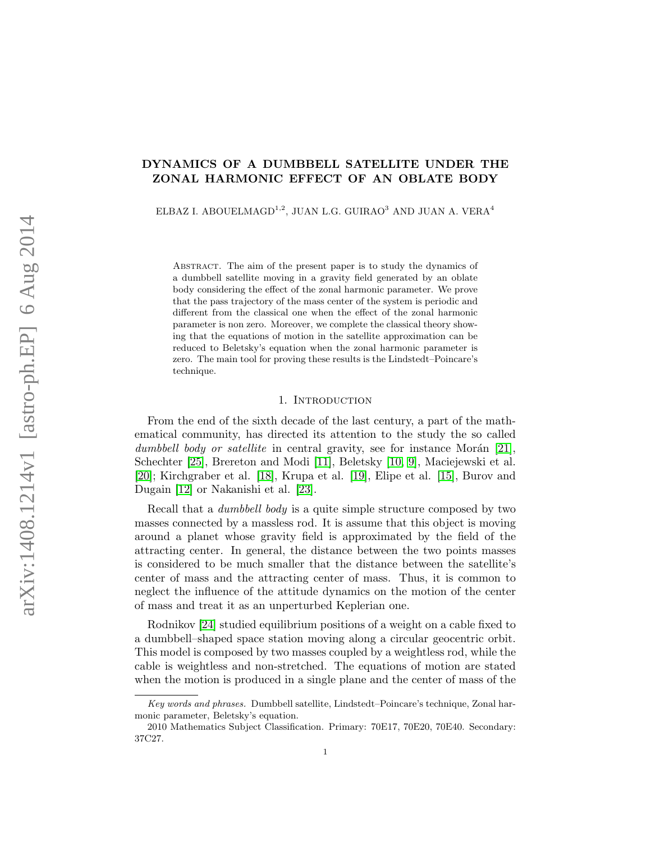# DYNAMICS OF A DUMBBELL SATELLITE UNDER THE ZONAL HARMONIC EFFECT OF AN OBLATE BODY

ELBAZ I. ABOUELMAGD $^{1,2},$  JUAN L.G. GUIRAO $^3$  AND JUAN A. VERA $^4$ 

Abstract. The aim of the present paper is to study the dynamics of a dumbbell satellite moving in a gravity field generated by an oblate body considering the effect of the zonal harmonic parameter. We prove that the pass trajectory of the mass center of the system is periodic and different from the classical one when the effect of the zonal harmonic parameter is non zero. Moreover, we complete the classical theory showing that the equations of motion in the satellite approximation can be reduced to Beletsky's equation when the zonal harmonic parameter is zero. The main tool for proving these results is the Lindstedt–Poincare's technique.

### 1. Introduction

From the end of the sixth decade of the last century, a part of the mathematical community, has directed its attention to the study the so called dumbbell body or satellite in central gravity, see for instance Morán [\[21\]](#page-17-0), Schechter [\[25\]](#page-18-0), Brereton and Modi [\[11\]](#page-17-1), Beletsky [\[10,](#page-17-2) [9\]](#page-17-3), Maciejewski et al. [\[20\]](#page-17-4); Kirchgraber et al. [\[18\]](#page-17-5), Krupa et al. [\[19\]](#page-17-6), Elipe et al. [\[15\]](#page-17-7), Burov and Dugain [\[12\]](#page-17-8) or Nakanishi et al. [\[23\]](#page-18-1).

Recall that a dumbbell body is a quite simple structure composed by two masses connected by a massless rod. It is assume that this object is moving around a planet whose gravity field is approximated by the field of the attracting center. In general, the distance between the two points masses is considered to be much smaller that the distance between the satellite's center of mass and the attracting center of mass. Thus, it is common to neglect the influence of the attitude dynamics on the motion of the center of mass and treat it as an unperturbed Keplerian one.

Rodnikov [\[24\]](#page-18-2) studied equilibrium positions of a weight on a cable fixed to a dumbbell–shaped space station moving along a circular geocentric orbit. This model is composed by two masses coupled by a weightless rod, while the cable is weightless and non-stretched. The equations of motion are stated when the motion is produced in a single plane and the center of mass of the

Key words and phrases. Dumbbell satellite, Lindstedt–Poincare's technique, Zonal harmonic parameter, Beletsky's equation.

<sup>2010</sup> Mathematics Subject Classification. Primary: 70E17, 70E20, 70E40. Secondary: 37C27.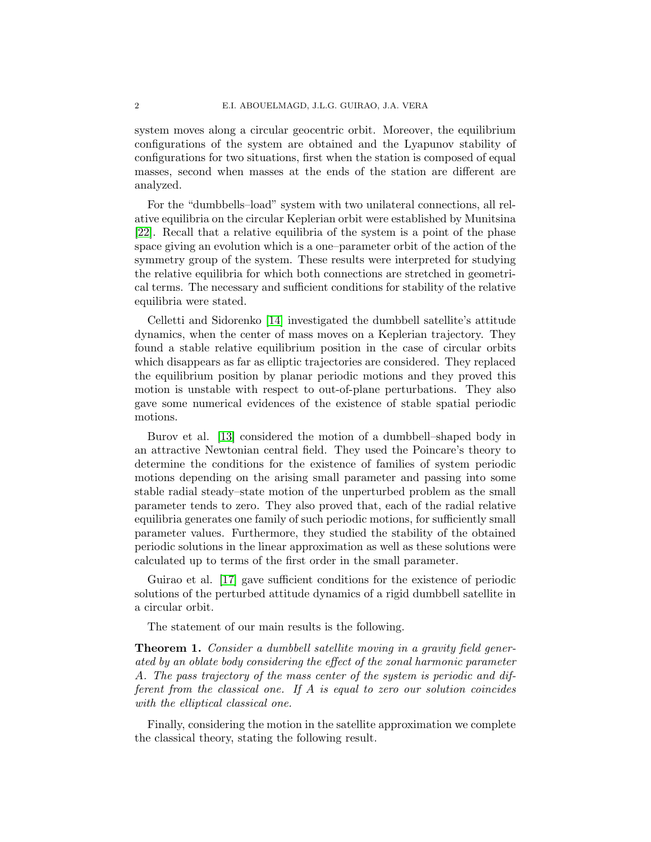system moves along a circular geocentric orbit. Moreover, the equilibrium configurations of the system are obtained and the Lyapunov stability of configurations for two situations, first when the station is composed of equal masses, second when masses at the ends of the station are different are analyzed.

For the "dumbbells–load" system with two unilateral connections, all relative equilibria on the circular Keplerian orbit were established by Munitsina [\[22\]](#page-18-3). Recall that a relative equilibria of the system is a point of the phase space giving an evolution which is a one–parameter orbit of the action of the symmetry group of the system. These results were interpreted for studying the relative equilibria for which both connections are stretched in geometrical terms. The necessary and sufficient conditions for stability of the relative equilibria were stated.

Celletti and Sidorenko [\[14\]](#page-17-9) investigated the dumbbell satellite's attitude dynamics, when the center of mass moves on a Keplerian trajectory. They found a stable relative equilibrium position in the case of circular orbits which disappears as far as elliptic trajectories are considered. They replaced the equilibrium position by planar periodic motions and they proved this motion is unstable with respect to out-of-plane perturbations. They also gave some numerical evidences of the existence of stable spatial periodic motions.

Burov et al. [\[13\]](#page-17-10) considered the motion of a dumbbell–shaped body in an attractive Newtonian central field. They used the Poincare's theory to determine the conditions for the existence of families of system periodic motions depending on the arising small parameter and passing into some stable radial steady–state motion of the unperturbed problem as the small parameter tends to zero. They also proved that, each of the radial relative equilibria generates one family of such periodic motions, for sufficiently small parameter values. Furthermore, they studied the stability of the obtained periodic solutions in the linear approximation as well as these solutions were calculated up to terms of the first order in the small parameter.

Guirao et al. [\[17\]](#page-17-11) gave sufficient conditions for the existence of periodic solutions of the perturbed attitude dynamics of a rigid dumbbell satellite in a circular orbit.

The statement of our main results is the following.

<span id="page-1-0"></span>Theorem 1. Consider a dumbbell satellite moving in a gravity field generated by an oblate body considering the effect of the zonal harmonic parameter A. The pass trajectory of the mass center of the system is periodic and different from the classical one. If A is equal to zero our solution coincides with the elliptical classical one.

Finally, considering the motion in the satellite approximation we complete the classical theory, stating the following result.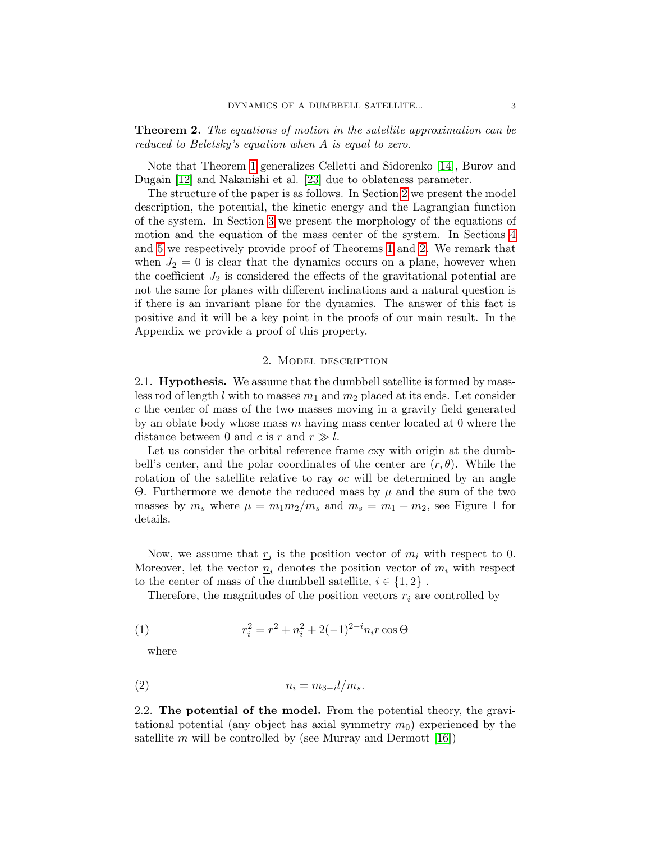<span id="page-2-1"></span>Theorem 2. The equations of motion in the satellite approximation can be reduced to Beletsky's equation when A is equal to zero.

Note that Theorem [1](#page-1-0) generalizes Celletti and Sidorenko [\[14\]](#page-17-9), Burov and Dugain [\[12\]](#page-17-8) and Nakanishi et al. [\[23\]](#page-18-1) due to oblateness parameter.

The structure of the paper is as follows. In Section [2](#page-2-0) we present the model description, the potential, the kinetic energy and the Lagrangian function of the system. In Section [3](#page-5-0) we present the morphology of the equations of motion and the equation of the mass center of the system. In Sections [4](#page-8-0) and [5](#page-12-0) we respectively provide proof of Theorems [1](#page-1-0) and [2.](#page-2-1) We remark that when  $J_2 = 0$  is clear that the dynamics occurs on a plane, however when the coefficient  $J_2$  is considered the effects of the gravitational potential are not the same for planes with different inclinations and a natural question is if there is an invariant plane for the dynamics. The answer of this fact is positive and it will be a key point in the proofs of our main result. In the Appendix we provide a proof of this property.

#### 2. Model description

<span id="page-2-0"></span>2.1. Hypothesis. We assume that the dumbbell satellite is formed by massless rod of length l with to masses  $m_1$  and  $m_2$  placed at its ends. Let consider c the center of mass of the two masses moving in a gravity field generated by an oblate body whose mass  $m$  having mass center located at 0 where the distance between 0 and c is r and  $r \gg l$ .

Let us consider the orbital reference frame cxy with origin at the dumbbell's center, and the polar coordinates of the center are  $(r, \theta)$ . While the rotation of the satellite relative to ray oc will be determined by an angle Θ. Furthermore we denote the reduced mass by µ and the sum of the two masses by  $m_s$  where  $\mu = m_1 m_2/m_s$  and  $m_s = m_1 + m_2$ , see Figure 1 for details.

Now, we assume that  $r_i$  is the position vector of  $m_i$  with respect to 0. Moreover, let the vector  $\underline{n}_i$  denotes the position vector of  $m_i$  with respect to the center of mass of the dumbbell satellite,  $i \in \{1,2\}$ .

Therefore, the magnitudes of the position vectors  $r_i$  are controlled by

(1) 
$$
r_i^2 = r^2 + n_i^2 + 2(-1)^{2-i} n_i r \cos \Theta
$$

<span id="page-2-3"></span><span id="page-2-2"></span>where

$$
(2) \t\t n_i = m_{3-i}l/m_s.
$$

2.2. The potential of the model. From the potential theory, the gravitational potential (any object has axial symmetry  $m_0$ ) experienced by the satellite m will be controlled by (see Murray and Dermott  $[16]$ )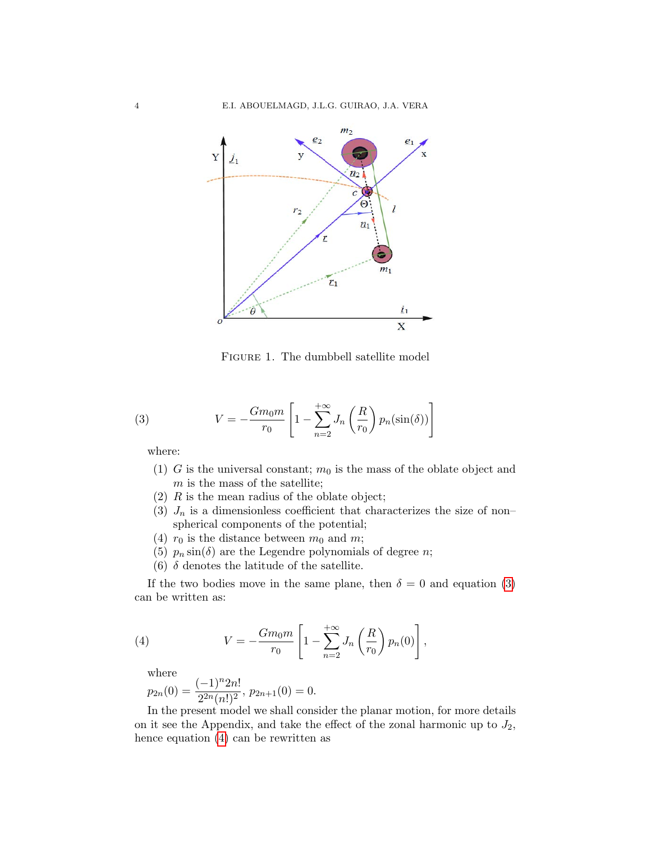

<span id="page-3-0"></span>Figure 1. The dumbbell satellite model

(3) 
$$
V = -\frac{Gm_0m}{r_0} \left[ 1 - \sum_{n=2}^{+\infty} J_n\left(\frac{R}{r_0}\right) p_n(\sin(\delta)) \right]
$$

where:

- (1) G is the universal constant;  $m_0$  is the mass of the oblate object and m is the mass of the satellite;
- (2)  $R$  is the mean radius of the oblate object;
- (3)  $J_n$  is a dimensionless coefficient that characterizes the size of non– spherical components of the potential;
- (4)  $r_0$  is the distance between  $m_0$  and  $m$ ;
- (5)  $p_n \sin(\delta)$  are the Legendre polynomials of degree n;
- (6)  $\delta$  denotes the latitude of the satellite.

If the two bodies move in the same plane, then  $\delta = 0$  and equation [\(3\)](#page-3-0) can be written as:

(4) 
$$
V = -\frac{Gm_0m}{r_0} \left[ 1 - \sum_{n=2}^{+\infty} J_n \left( \frac{R}{r_0} \right) p_n(0) \right],
$$

<span id="page-3-1"></span>where

$$
p_{2n}(0) = \frac{(-1)^n 2n!}{2^{2n} (n!)^2}, p_{2n+1}(0) = 0.
$$

In the present model we shall consider the planar motion, for more details on it see the Appendix, and take the effect of the zonal harmonic up to  $J_2$ , hence equation [\(4\)](#page-3-1) can be rewritten as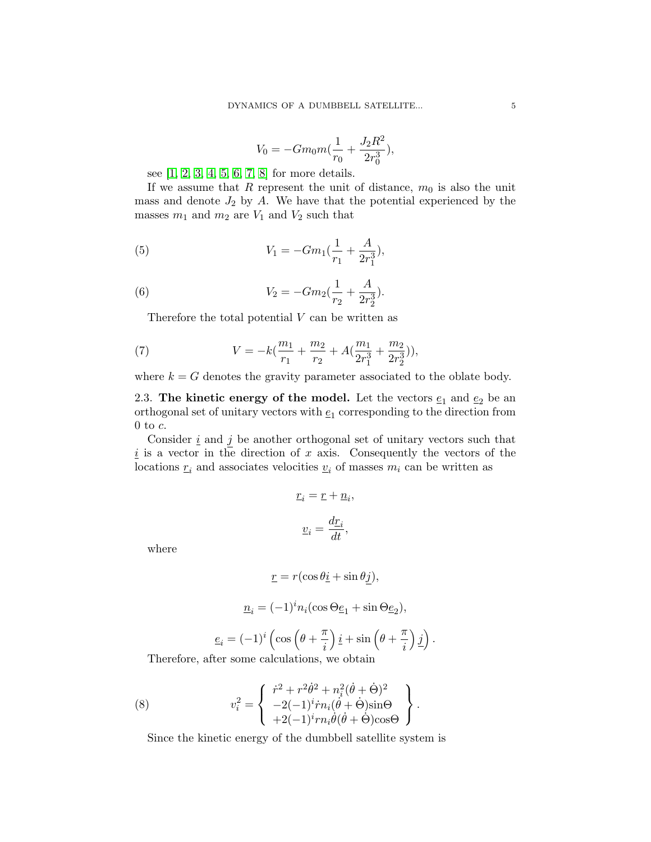$$
V_0 = -Gm_0m(\frac{1}{r_0} + \frac{J_2R^2}{2r_0^3}),
$$

see [\[1,](#page-17-13) [2,](#page-17-14) [3,](#page-17-15) [4,](#page-17-16) [5,](#page-17-17) [6,](#page-17-18) [7,](#page-17-19) [8\]](#page-17-20) for more details.

If we assume that R represent the unit of distance,  $m_0$  is also the unit mass and denote  $J_2$  by A. We have that the potential experienced by the masses  $m_1$  and  $m_2$  are  $V_1$  and  $V_2$  such that

(5) 
$$
V_1 = -Gm_1(\frac{1}{r_1} + \frac{A}{2r_1^3}),
$$

(6) 
$$
V_2 = -Gm_2\left(\frac{1}{r_2} + \frac{A}{2r_2^3}\right).
$$

<span id="page-4-1"></span>Therefore the total potential  $V$  can be written as

(7) 
$$
V = -k\left(\frac{m_1}{r_1} + \frac{m_2}{r_2} + A\left(\frac{m_1}{2r_1^3} + \frac{m_2}{2r_2^3}\right)\right),
$$

where  $k = G$  denotes the gravity parameter associated to the oblate body.

2.3. The kinetic energy of the model. Let the vectors  $e_1$  and  $e_2$  be an orthogonal set of unitary vectors with  $\underline{e}_1$  corresponding to the direction from 0 to  $c$ .

Consider  $\underline{i}$  and  $j$  be another orthogonal set of unitary vectors such that  $i$  is a vector in the direction of x axis. Consequently the vectors of the locations  $\underline{r}_i$  and associates velocities  $\underline{v}_i$  of masses  $m_i$  can be written as

$$
\underline{r}_i = \underline{r} + \underline{n}_i,
$$
  

$$
\underline{v}_i = \frac{d\underline{r}_i}{dt},
$$

where

$$
\underline{r} = r(\cos\theta \underline{i} + \sin\theta \underline{j}),
$$

$$
\underline{n}_i = (-1)^i n_i(\cos \Theta \underline{e}_1 + \sin \Theta \underline{e}_2),
$$

<span id="page-4-0"></span>
$$
\underline{e}_i = (-1)^i \left( \cos \left( \theta + \frac{\pi}{i} \right) \underline{i} + \sin \left( \theta + \frac{\pi}{i} \right) \underline{j} \right).
$$

Therefore, after some calculations, we obtain

(8) 
$$
v_i^2 = \begin{cases} \dot{r}^2 + r^2 \dot{\theta}^2 + n_i^2 (\dot{\theta} + \dot{\Theta})^2 \\ -2(-1)^i \dot{r} n_i (\dot{\theta} + \dot{\Theta}) \sin \Theta \\ +2(-1)^i r n_i \dot{\theta} (\dot{\theta} + \dot{\Theta}) \cos \Theta \end{cases}.
$$

Since the kinetic energy of the dumbbell satellite system is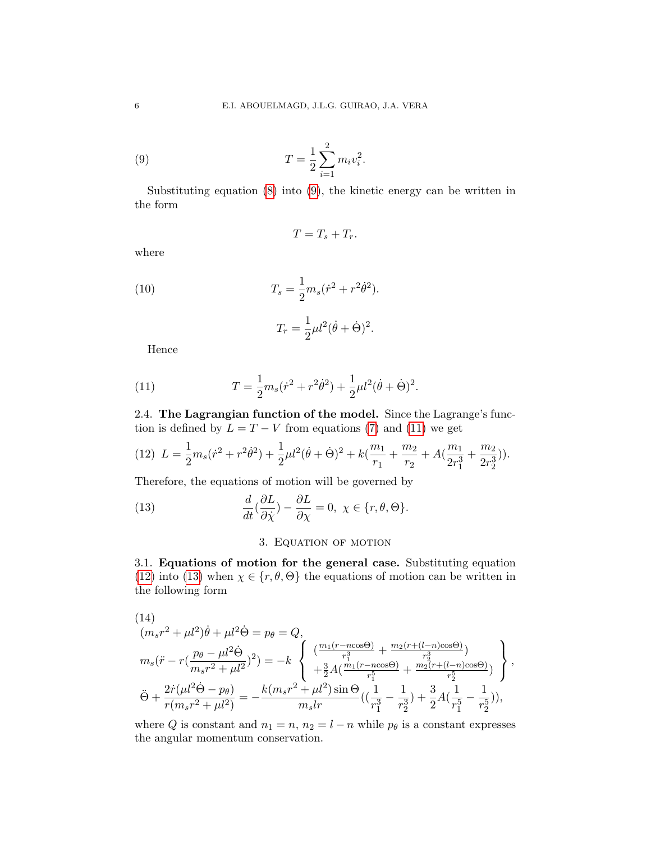(9) 
$$
T = \frac{1}{2} \sum_{i=1}^{2} m_i v_i^2.
$$

Substituting equation [\(8\)](#page-4-0) into [\(9\)](#page-5-1), the kinetic energy can be written in the form

<span id="page-5-1"></span>
$$
T = T_s + T_r.
$$

where

(10) 
$$
T_s = \frac{1}{2} m_s (\dot{r}^2 + r^2 \dot{\theta}^2).
$$

<span id="page-5-5"></span><span id="page-5-2"></span>
$$
T_r = \frac{1}{2}\mu l^2(\dot{\theta} + \dot{\Theta})^2.
$$

Hence

(11) 
$$
T = \frac{1}{2}m_s(\dot{r}^2 + r^2\dot{\theta}^2) + \frac{1}{2}\mu l^2(\dot{\theta} + \dot{\Theta})^2.
$$

2.4. The Lagrangian function of the model. Since the Lagrange's function is defined by  $L = T - V$  from equations [\(7\)](#page-4-1) and [\(11\)](#page-5-2) we get

<span id="page-5-3"></span>
$$
(12)\ \ L = \frac{1}{2}m_s(\dot{r}^2 + r^2\dot{\theta}^2) + \frac{1}{2}\mu l^2(\dot{\theta} + \dot{\Theta})^2 + k(\frac{m_1}{r_1} + \frac{m_2}{r_2} + A(\frac{m_1}{2r_1^3} + \frac{m_2}{2r_2^3})).
$$

Therefore, the equations of motion will be governed by

(13) 
$$
\frac{d}{dt}(\frac{\partial L}{\partial \dot{\chi}}) - \frac{\partial L}{\partial \chi} = 0, \ \chi \in \{r, \theta, \Theta\}.
$$

## <span id="page-5-4"></span>3. Equation of motion

<span id="page-5-0"></span>3.1. Equations of motion for the general case. Substituting equation [\(12\)](#page-5-3) into [\(13\)](#page-5-4) when  $\chi \in \{r, \theta, \Theta\}$  the equations of motion can be written in the following form

<span id="page-5-6"></span>
$$
\begin{split} & (14)\\ & (m_sr^2+\mu l^2)\dot{\theta}+\mu l^2\dot{\Theta}=p_\theta=Q,\\ & m_s(\ddot{r}-r(\frac{p_\theta-\mu l^2\dot{\Theta}}{m_sr^2+\mu l^2})^2)=-k\left\{ \begin{array}{l} (\frac{m_1(r-n\cos\Theta)}{r_1^3}+\frac{m_2(r+(l-n)\cos\Theta)}{r_2^3})\\ +\frac{3}{2}A(\frac{m_1(r-n\cos\Theta)}{r_1^5}+\frac{m_2(r+(l-n)\cos\Theta)}{r_2^5})\\ \ddot{\Theta}+\frac{2\dot{r}(\mu l^2\dot{\Theta}-p_\theta)}{r(m_sr^2+\mu l^2)}=-\frac{k(m_sr^2+\mu l^2)\sin\Theta}{m_slr}((\frac{1}{r_1^3}-\frac{1}{r_2^3})+\frac{3}{2}A(\frac{1}{r_1^5}-\frac{1}{r_2^5})), \end{array} \right\}, \end{split}
$$

where Q is constant and  $n_1 = n$ ,  $n_2 = l - n$  while  $p_\theta$  is a constant expresses the angular momentum conservation.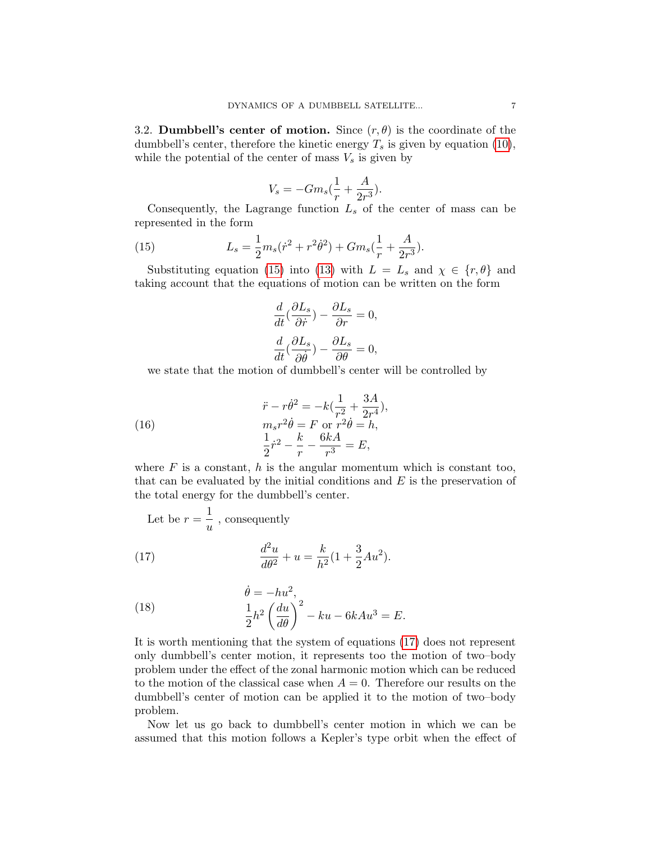3.2. **Dumbbell's center of motion.** Since  $(r, \theta)$  is the coordinate of the dumbbell's center, therefore the kinetic energy  $T_s$  is given by equation [\(10\)](#page-5-5), while the potential of the center of mass  $V_s$  is given by

<span id="page-6-0"></span>
$$
V_s = -Gm_s(\frac{1}{r} + \frac{A}{2r^3}).
$$

Consequently, the Lagrange function  $L<sub>s</sub>$  of the center of mass can be represented in the form

(15) 
$$
L_s = \frac{1}{2}m_s(\dot{r}^2 + r^2\dot{\theta}^2) + Gm_s(\frac{1}{r} + \frac{A}{2r^3}).
$$

Substituting equation [\(15\)](#page-6-0) into [\(13\)](#page-5-4) with  $L = L_s$  and  $\chi \in \{r, \theta\}$  and taking account that the equations of motion can be written on the form

$$
\frac{d}{dt}(\frac{\partial L_s}{\partial \dot{r}}) - \frac{\partial L_s}{\partial r} = 0,
$$
  

$$
\frac{d}{dt}(\frac{\partial L_s}{\partial \dot{\theta}}) - \frac{\partial L_s}{\partial \theta} = 0,
$$

we state that the motion of dumbbell's center will be controlled by

(16) 
$$
\ddot{r} - r\dot{\theta}^2 = -k(\frac{1}{r^2} + \frac{3A}{2r^4}),
$$

$$
m_s r^2 \dot{\theta} = F \text{ or } r^2 \dot{\theta} = h,
$$

$$
\frac{1}{2} \dot{r}^2 - \frac{k}{r} - \frac{6kA}{r^3} = E,
$$

where  $F$  is a constant,  $h$  is the angular momentum which is constant too, that can be evaluated by the initial conditions and  $E$  is the preservation of the total energy for the dumbbell's center.

Let be 
$$
r = \frac{1}{u}
$$
, consequently  
(17)  

$$
\frac{d^2u}{d\theta^2} + u = \frac{k}{h^2}(1 + \frac{3}{2}Au^2).
$$

<span id="page-6-1"></span>(18) 
$$
\dot{\theta} = -hu^2,
$$

$$
\frac{1}{2}h^2 \left(\frac{du}{d\theta}\right)^2 - ku - 6kAu^3 = E.
$$

It is worth mentioning that the system of equations [\(17\)](#page-6-1) does not represent only dumbbell's center motion, it represents too the motion of two–body problem under the effect of the zonal harmonic motion which can be reduced to the motion of the classical case when  $A = 0$ . Therefore our results on the dumbbell's center of motion can be applied it to the motion of two–body problem.

Now let us go back to dumbbell's center motion in which we can be assumed that this motion follows a Kepler's type orbit when the effect of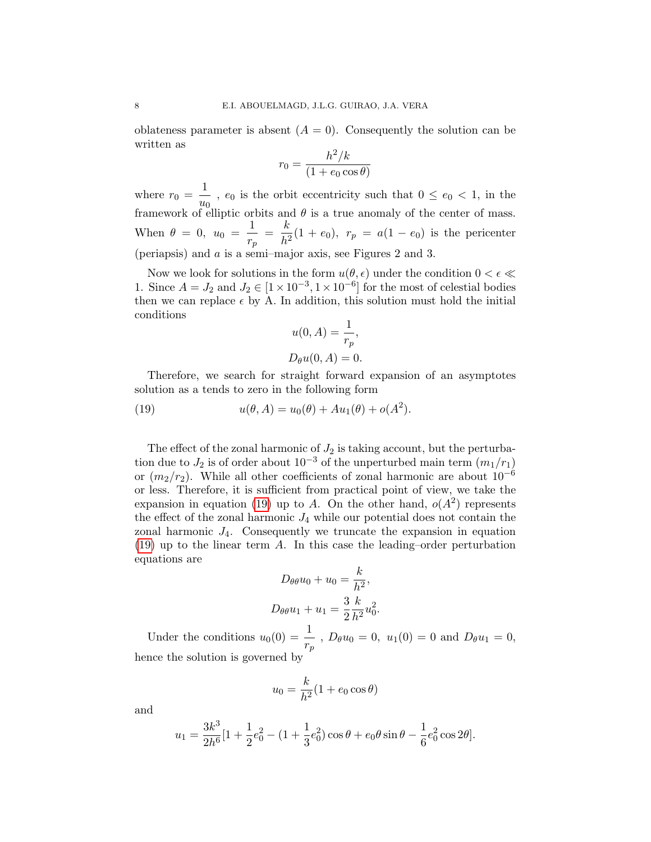oblateness parameter is absent  $(A = 0)$ . Consequently the solution can be written as

$$
r_0 = \frac{h^2/k}{(1 + e_0 \cos \theta)}
$$

where  $r_0 = \frac{1}{n}$  $\frac{1}{u_0}$ ,  $e_0$  is the orbit eccentricity such that  $0 \le e_0 < 1$ , in the framework of elliptic orbits and  $\theta$  is a true anomaly of the center of mass. When  $\theta = 0$ ,  $u_0 = \frac{1}{a}$  $\frac{1}{r_p} = \frac{k}{h^2}$  $\frac{\pi}{h^2}(1+e_0)$ ,  $r_p = a(1-e_0)$  is the pericenter (periapsis) and a is a semi–major axis, see Figures 2 and 3.

Now we look for solutions in the form  $u(\theta, \epsilon)$  under the condition  $0 < \epsilon \ll 1$ 1. Since  $A = J_2$  and  $J_2 \in [1 \times 10^{-3}, 1 \times 10^{-6}]$  for the most of celestial bodies then we can replace  $\epsilon$  by A. In addition, this solution must hold the initial conditions

<span id="page-7-0"></span>
$$
u(0, A) = \frac{1}{r_p},
$$
  

$$
D_{\theta}u(0, A) = 0.
$$

Therefore, we search for straight forward expansion of an asymptotes solution as a tends to zero in the following form

(19) 
$$
u(\theta, A) = u_0(\theta) + Au_1(\theta) + o(A^2).
$$

The effect of the zonal harmonic of  $J_2$  is taking account, but the perturbation due to  $J_2$  is of order about  $10^{-3}$  of the unperturbed main term  $(m_1/r_1)$ or  $(m_2/r_2)$ . While all other coefficients of zonal harmonic are about 10<sup>-6</sup> or less. Therefore, it is sufficient from practical point of view, we take the expansion in equation [\(19\)](#page-7-0) up to A. On the other hand,  $o(A^2)$  represents the effect of the zonal harmonic  $J_4$  while our potential does not contain the zonal harmonic  $J_4$ . Consequently we truncate the expansion in equation [\(19\)](#page-7-0) up to the linear term A. In this case the leading–order perturbation equations are

$$
D_{\theta\theta}u_0 + u_0 = \frac{k}{h^2},
$$
  

$$
D_{\theta\theta}u_1 + u_1 = \frac{3}{2}\frac{k}{h^2}u_0^2.
$$

Under the conditions  $u_0(0) = \frac{1}{r_p}$ ,  $D_\theta u_0 = 0$ ,  $u_1(0) = 0$  and  $D_\theta u_1 = 0$ , hence the solution is governed by

$$
u_0 = \frac{k}{h^2} (1 + e_0 \cos \theta)
$$

and

$$
u_1 = \frac{3k^3}{2h^6} \left[ 1 + \frac{1}{2} e_0^2 - (1 + \frac{1}{3} e_0^2) \cos \theta + e_0 \theta \sin \theta - \frac{1}{6} e_0^2 \cos 2\theta \right].
$$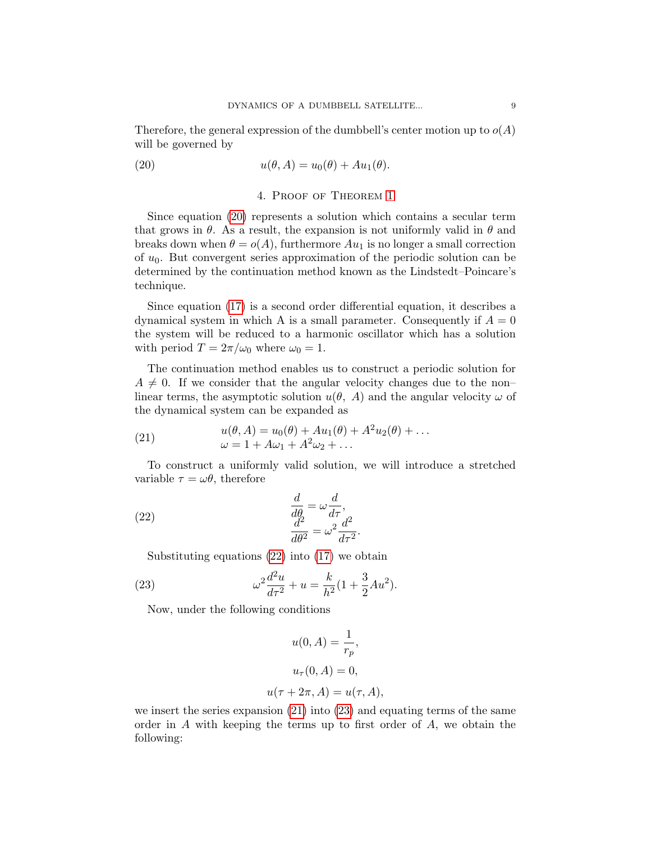Therefore, the general expression of the dumbbell's center motion up to  $o(A)$ will be governed by

(20) 
$$
u(\theta, A) = u_0(\theta) + Au_1(\theta).
$$

## <span id="page-8-1"></span>4. Proof of Theorem [1](#page-1-0)

<span id="page-8-0"></span>Since equation [\(20\)](#page-8-1) represents a solution which contains a secular term that grows in  $\theta$ . As a result, the expansion is not uniformly valid in  $\theta$  and breaks down when  $\theta = o(A)$ , furthermore  $Au_1$  is no longer a small correction of  $u_0$ . But convergent series approximation of the periodic solution can be determined by the continuation method known as the Lindstedt–Poincare's technique.

Since equation [\(17\)](#page-6-1) is a second order differential equation, it describes a dynamical system in which A is a small parameter. Consequently if  $A = 0$ the system will be reduced to a harmonic oscillator which has a solution with period  $T = 2\pi/\omega_0$  where  $\omega_0 = 1$ .

The continuation method enables us to construct a periodic solution for  $A \neq 0$ . If we consider that the angular velocity changes due to the non– linear terms, the asymptotic solution  $u(\theta, A)$  and the angular velocity  $\omega$  of the dynamical system can be expanded as

<span id="page-8-3"></span>(21) 
$$
u(\theta, A) = u_0(\theta) + Au_1(\theta) + A^2 u_2(\theta) + \dots \n\omega = 1 + A\omega_1 + A^2 \omega_2 + \dots
$$

To construct a uniformly valid solution, we will introduce a stretched variable  $\tau = \omega \theta$ , therefore

(22) 
$$
\frac{d}{d\theta} = \omega \frac{d}{d\tau},
$$

$$
\frac{d^2}{d\theta^2} = \omega^2 \frac{d^2}{d\tau^2}.
$$

Substituting equations  $(22)$  into  $(17)$  we obtain

(23) 
$$
\omega^2 \frac{d^2 u}{d\tau^2} + u = \frac{k}{h^2} (1 + \frac{3}{2} A u^2).
$$

Now, under the following conditions

<span id="page-8-4"></span><span id="page-8-2"></span>
$$
u(0, A) = \frac{1}{r_p},
$$
  

$$
u_{\tau}(0, A) = 0,
$$
  

$$
u(\tau + 2\pi, A) = u(\tau, A),
$$

we insert the series expansion [\(21\)](#page-8-3) into [\(23\)](#page-8-4) and equating terms of the same order in A with keeping the terms up to first order of A, we obtain the following: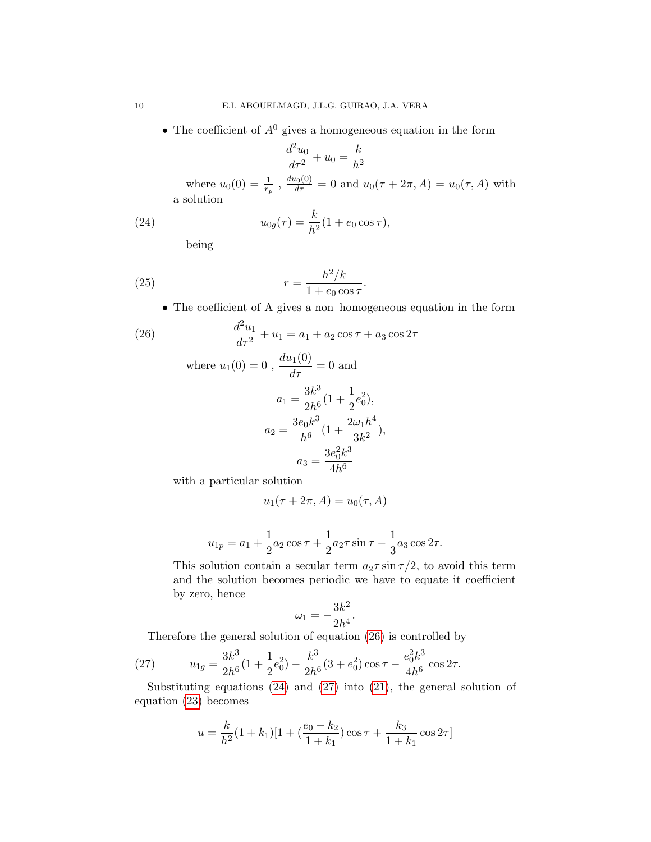• The coefficient of  $A^0$  gives a homogeneous equation in the form

<span id="page-9-1"></span>
$$
\frac{d^2u_0}{d\tau^2} + u_0 = \frac{k}{h^2}
$$

where  $u_0(0) = \frac{1}{r_p}$ ,  $\frac{du_0(0)}{d\tau} = 0$  and  $u_0(\tau + 2\pi, A) = u_0(\tau, A)$  with a solution

(24) 
$$
u_{0g}(\tau) = \frac{k}{h^2} (1 + e_0 \cos \tau),
$$

being

(25) 
$$
r = \frac{h^2/k}{1 + e_0 \cos \tau}.
$$

• The coefficient of A gives a non–homogeneous equation in the form

(26) 
$$
\frac{d^2u_1}{d\tau^2} + u_1 = a_1 + a_2 \cos \tau + a_3 \cos 2\tau
$$

<span id="page-9-0"></span>where 
$$
u_1(0) = 0
$$
,  $\frac{du_1(0)}{d\tau} = 0$  and  
\n
$$
a_1 = \frac{3k^3}{2h^6}(1 + \frac{1}{2}e_0^2),
$$
\n
$$
a_2 = \frac{3e_0k^3}{h^6}(1 + \frac{2\omega_1h^4}{3k^2}),
$$
\n
$$
a_3 = \frac{3e_0^2k^3}{4h^6}
$$

with a particular solution

$$
u_1(\tau + 2\pi, A) = u_0(\tau, A)
$$

$$
u_{1p} = a_1 + \frac{1}{2}a_2\cos\tau + \frac{1}{2}a_2\tau\sin\tau - \frac{1}{3}a_3\cos 2\tau.
$$

This solution contain a secular term  $a_2 \tau \sin \tau/2$ , to avoid this term and the solution becomes periodic we have to equate it coefficient by zero, hence

$$
\omega_1 = -\frac{3k^2}{2h^4}.
$$

<span id="page-9-2"></span>Therefore the general solution of equation [\(26\)](#page-9-0) is controlled by

(27) 
$$
u_{1g} = \frac{3k^3}{2h^6}(1 + \frac{1}{2}e_0^2) - \frac{k^3}{2h^6}(3 + e_0^2)\cos\tau - \frac{e_0^2k^3}{4h^6}\cos 2\tau.
$$

Substituting equations  $(24)$  and  $(27)$  into  $(21)$ , the general solution of equation [\(23\)](#page-8-4) becomes

$$
u = \frac{k}{h^2} (1 + k_1) [1 + (\frac{e_0 - k_2}{1 + k_1}) \cos \tau + \frac{k_3}{1 + k_1} \cos 2\tau]
$$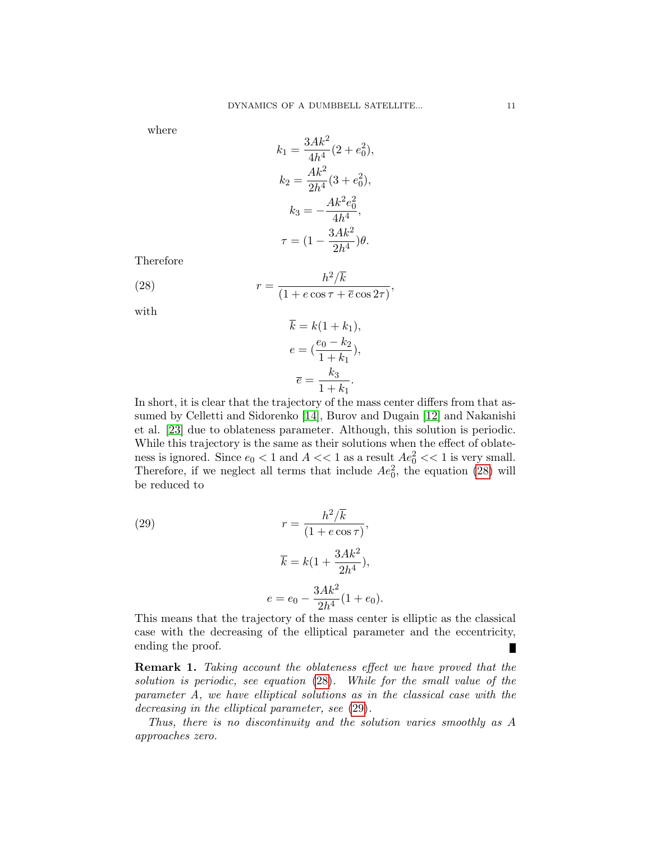where

$$
k_1 = \frac{3Ak^2}{4h^4}(2 + e_0^2),
$$
  
\n
$$
k_2 = \frac{Ak^2}{2h^4}(3 + e_0^2),
$$
  
\n
$$
k_3 = -\frac{Ak^2e_0^2}{4h^4},
$$
  
\n
$$
\tau = (1 - \frac{3Ak^2}{2h^4})\theta.
$$

Therefore

(28) 
$$
r = \frac{h^2/\overline{k}}{(1 + e \cos \tau + \overline{e} \cos 2\tau)},
$$

with

<span id="page-10-0"></span>
$$
\overline{k} = k(1 + k_1),
$$

$$
e = \left(\frac{e_0 - k_2}{1 + k_1}\right),
$$

$$
\overline{e} = \frac{k_3}{1 + k_1}.
$$

In short, it is clear that the trajectory of the mass center differs from that assumed by Celletti and Sidorenko [\[14\]](#page-17-9), Burov and Dugain [\[12\]](#page-17-8) and Nakanishi et al. [\[23\]](#page-18-1) due to oblateness parameter. Although, this solution is periodic. While this trajectory is the same as their solutions when the effect of oblateness is ignored. Since  $e_0 < 1$  and  $A \ll 1$  as a result  $Ae_0^2 \ll 1$  is very small. Therefore, if we neglect all terms that include  $Ae_0^2$ , the equation [\(28\)](#page-10-0) will be reduced to

<span id="page-10-1"></span>(29)  
\n
$$
r = \frac{h^2/\overline{k}}{(1 + e \cos \tau)},
$$
\n
$$
\overline{k} = k(1 + \frac{3Ak^2}{2h^4}),
$$
\n
$$
e = e_0 - \frac{3Ak^2}{2h^4}(1 + e_0).
$$

This means that the trajectory of the mass center is elliptic as the classical case with the decreasing of the elliptical parameter and the eccentricity, ending the proof. Г

Remark 1. Taking account the oblateness effect we have proved that the solution is periodic, see equation [\(28\)](#page-10-0). While for the small value of the parameter A, we have elliptical solutions as in the classical case with the decreasing in the elliptical parameter, see  $(29)$ .

Thus, there is no discontinuity and the solution varies smoothly as A approaches zero.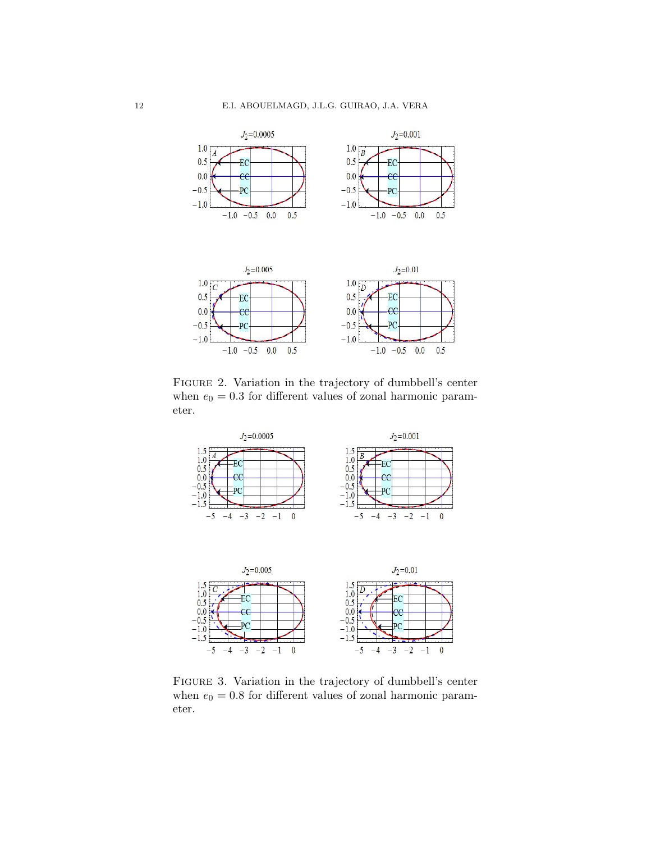

Figure 2. Variation in the trajectory of dumbbell's center when  $e_0 = 0.3$  for different values of zonal harmonic parameter.



Figure 3. Variation in the trajectory of dumbbell's center when  $e_0 = 0.8$  for different values of zonal harmonic parameter.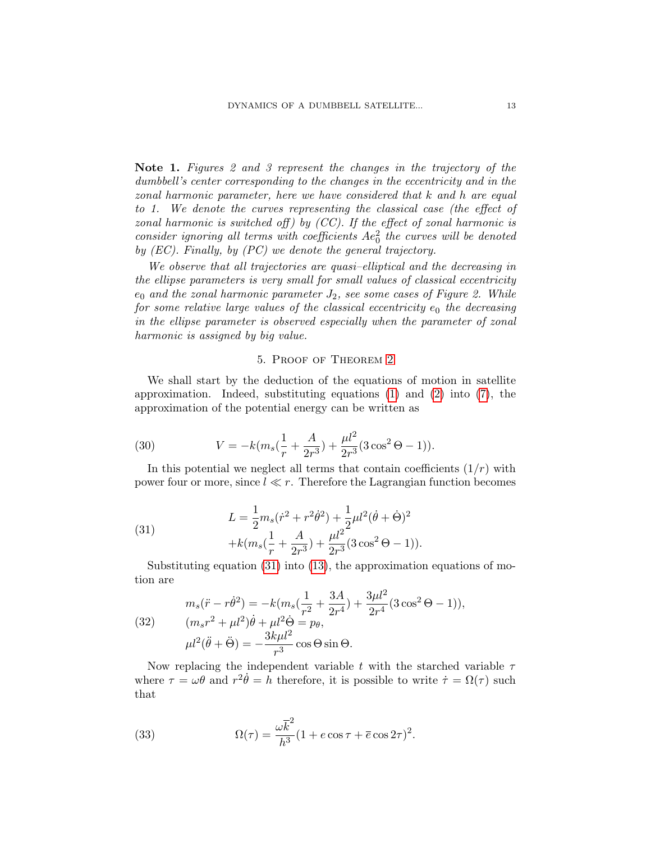Note 1. Figures 2 and 3 represent the changes in the trajectory of the dumbbell's center corresponding to the changes in the eccentricity and in the zonal harmonic parameter, here we have considered that k and h are equal to 1. We denote the curves representing the classical case (the effect of zonal harmonic is switched off) by  $(CC)$ . If the effect of zonal harmonic is consider ignoring all terms with coefficients  $Ae_0^2$  the curves will be denoted by (EC). Finally, by (PC) we denote the general trajectory.

We observe that all trajectories are quasi–elliptical and the decreasing in the ellipse parameters is very small for small values of classical eccentricity  $e_0$  and the zonal harmonic parameter  $J_2$ , see some cases of Figure 2. While for some relative large values of the classical eccentricity  $e_0$  the decreasing in the ellipse parameter is observed especially when the parameter of zonal harmonic is assigned by big value.

### 5. Proof of Theorem [2](#page-2-1)

<span id="page-12-0"></span>We shall start by the deduction of the equations of motion in satellite approximation. Indeed, substituting equations  $(1)$  and  $(2)$  into  $(7)$ , the approximation of the potential energy can be written as

<span id="page-12-4"></span>(30) 
$$
V = -k(m_s(\frac{1}{r} + \frac{A}{2r^3}) + \frac{\mu l^2}{2r^3}(3\cos^2\Theta - 1)).
$$

In this potential we neglect all terms that contain coefficients  $(1/r)$  with power four or more, since  $l \ll r$ . Therefore the Lagrangian function becomes

<span id="page-12-1"></span>(31) 
$$
L = \frac{1}{2}m_s(\dot{r}^2 + r^2\dot{\theta}^2) + \frac{1}{2}\mu l^2(\dot{\theta} + \dot{\Theta})^2 + k(m_s(\frac{1}{r} + \frac{A}{2r^3}) + \frac{\mu l^2}{2r^3}(3\cos^2\Theta - 1)).
$$

Substituting equation [\(31\)](#page-12-1) into [\(13\)](#page-5-4), the approximation equations of motion are

<span id="page-12-2"></span>(32) 
$$
m_s(\ddot{r} - r\dot{\theta}^2) = -k(m_s(\frac{1}{r^2} + \frac{3A}{2r^4}) + \frac{3\mu l^2}{2r^4}(3\cos^2\theta - 1)),
$$

$$
(m_s r^2 + \mu l^2)\dot{\theta} + \mu l^2\dot{\Theta} = p_\theta,
$$

$$
\mu l^2(\ddot{\theta} + \ddot{\Theta}) = -\frac{3k\mu l^2}{r^3}\cos\Theta\sin\Theta.
$$

Now replacing the independent variable t with the starched variable  $\tau$ where  $\tau = \omega \theta$  and  $r^2 \dot{\theta} = h$  therefore, it is possible to write  $\dot{\tau} = \Omega(\tau)$  such that

<span id="page-12-3"></span>(33) 
$$
\Omega(\tau) = \frac{\omega \overline{k}^2}{h^3} (1 + e \cos \tau + \overline{e} \cos 2\tau)^2.
$$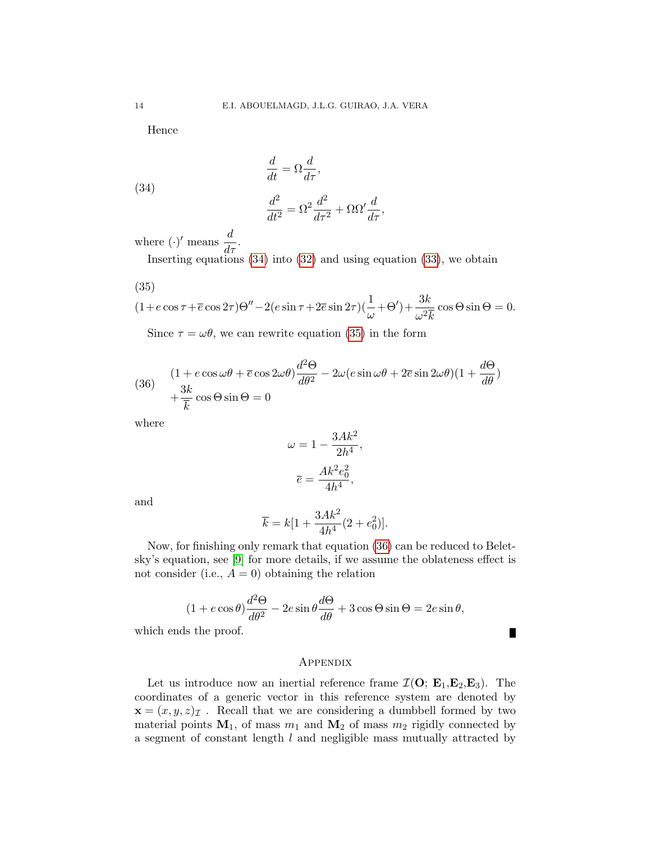<span id="page-13-0"></span>Hence

(34)  
\n
$$
\frac{d}{dt} = \Omega \frac{d}{d\tau},
$$
\n
$$
\frac{d^2}{dt^2} = \Omega^2 \frac{d^2}{d\tau^2} + \Omega \Omega' \frac{d}{d\tau},
$$

where  $(\cdot)'$  means  $\frac{d}{d\tau}$ .

Inserting equations  $(34)$  into  $(32)$  and using equation  $(33)$ , we obtain

$$
(35)
$$

<span id="page-13-1"></span>
$$
(1 + e \cos \tau + \overline{e} \cos 2\tau)\Theta'' - 2(e \sin \tau + 2\overline{e} \sin 2\tau)(\frac{1}{\omega} + \Theta') + \frac{3k}{\omega^2 \overline{k}} \cos \Theta \sin \Theta = 0.
$$

Since  $\tau = \omega \theta$ , we can rewrite equation [\(35\)](#page-13-1) in the form

<span id="page-13-2"></span>(36) 
$$
(1 + e \cos \omega \theta + \overline{e} \cos 2\omega \theta) \frac{d^2 \Theta}{d\theta^2} - 2\omega (e \sin \omega \theta + 2\overline{e} \sin 2\omega \theta)(1 + \frac{d\Theta}{d\theta}) + \frac{3k}{\overline{k}} \cos \Theta \sin \Theta = 0
$$

where

$$
\omega = 1 - \frac{3Ak^2}{2h^4},
$$

$$
\overline{e} = \frac{Ak^2e_0^2}{4h^4},
$$

and

$$
\overline{k} = k[1 + \frac{3Ak^2}{4h^4}(2 + e_0^2)].
$$

Now, for finishing only remark that equation [\(36\)](#page-13-2) can be reduced to Beletsky's equation, see [\[9\]](#page-17-3) for more details, if we assume the oblateness effect is not consider (i.e.,  $A = 0$ ) obtaining the relation

$$
(1 + e \cos \theta) \frac{d^2 \Theta}{d\theta^2} - 2e \sin \theta \frac{d\Theta}{d\theta} + 3 \cos \Theta \sin \Theta = 2e \sin \theta,
$$

П

which ends the proof.

### **APPENDIX**

Let us introduce now an inertial reference frame  $\mathcal{I}(\mathbf{O}; \mathbf{E}_1, \mathbf{E}_2, \mathbf{E}_3)$ . The coordinates of a generic vector in this reference system are denoted by  $\mathbf{x} = (x, y, z)_{\mathcal{I}}$ . Recall that we are considering a dumbbell formed by two material points  $M_1$ , of mass  $m_1$  and  $M_2$  of mass  $m_2$  rigidly connected by a segment of constant length  $l$  and negligible mass mutually attracted by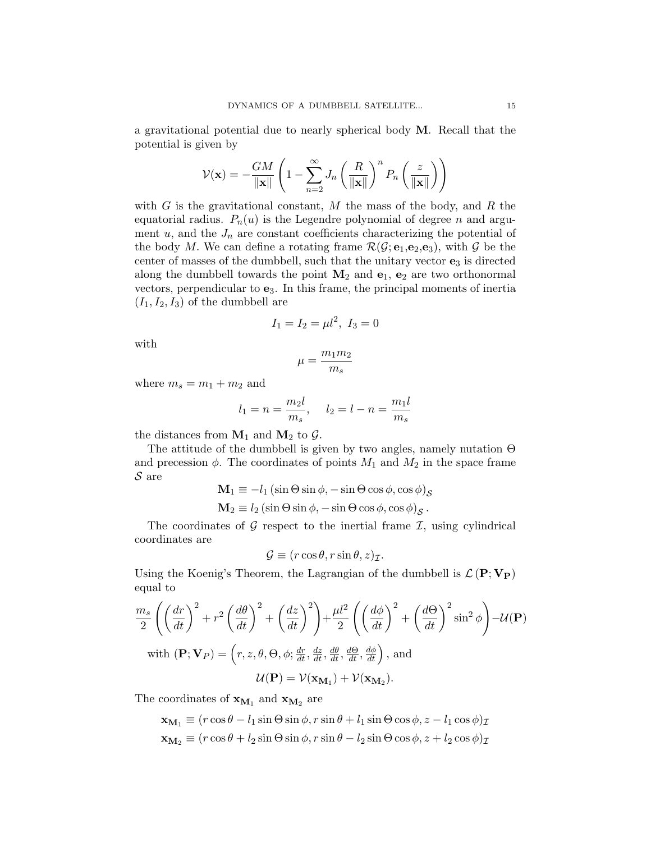a gravitational potential due to nearly spherical body M. Recall that the potential is given by

$$
\mathcal{V}(\mathbf{x}) = -\frac{GM}{\|\mathbf{x}\|} \left( 1 - \sum_{n=2}^{\infty} J_n \left( \frac{R}{\|\mathbf{x}\|} \right)^n P_n \left( \frac{z}{\|\mathbf{x}\|} \right) \right)
$$

with G is the gravitational constant, M the mass of the body, and R the equatorial radius.  $P_n(u)$  is the Legendre polynomial of degree n and argument  $u$ , and the  $J_n$  are constant coefficients characterizing the potential of the body M. We can define a rotating frame  $\mathcal{R}(\mathcal{G}; e_1, e_2, e_3)$ , with  $\mathcal{G}$  be the center of masses of the dumbbell, such that the unitary vector  $\mathbf{e}_3$  is directed along the dumbbell towards the point  $M_2$  and  $e_1$ ,  $e_2$  are two orthonormal vectors, perpendicular to  $e_3$ . In this frame, the principal moments of inertia  $(I_1, I_2, I_3)$  of the dumbbell are

$$
I_1 = I_2 = \mu l^2, \ I_3 = 0
$$

with

$$
\mu=\frac{m_1m_2}{m_s}
$$

where  $m_s = m_1 + m_2$  and

$$
l_1 = n = \frac{m_2 l}{m_s}, \quad l_2 = l - n = \frac{m_1 l}{m_s}
$$

the distances from  $M_1$  and  $M_2$  to  $\mathcal{G}$ .

The attitude of the dumbbell is given by two angles, namely nutation  $\Theta$ and precession  $\phi$ . The coordinates of points  $M_1$  and  $M_2$  in the space frame S are

$$
\mathbf{M}_{1} \equiv -l_{1} \left( \sin \Theta \sin \phi, -\sin \Theta \cos \phi, \cos \phi \right)_{\mathcal{S}}
$$

 $\mathbf{M}_2 \equiv l_2 \left( \sin \Theta \sin \phi, -\sin \Theta \cos \phi, \cos \phi \right)_{\mathcal{S}}.$ 

The coordinates of  $G$  respect to the inertial frame  $\mathcal{I}$ , using cylindrical coordinates are

$$
\mathcal{G} \equiv (r \cos \theta, r \sin \theta, z)_{\mathcal{I}}.
$$

Using the Koenig's Theorem, the Lagrangian of the dumbbell is  $\mathcal{L}(\mathbf{P}; \mathbf{V}_{\mathbf{P}})$ equal to

$$
\frac{m_s}{2} \left( \left(\frac{dr}{dt}\right)^2 + r^2 \left(\frac{d\theta}{dt}\right)^2 + \left(\frac{dz}{dt}\right)^2 \right) + \frac{\mu l^2}{2} \left( \left(\frac{d\phi}{dt}\right)^2 + \left(\frac{d\Theta}{dt}\right)^2 \sin^2 \phi \right) - \mathcal{U}(\mathbf{P})
$$
  
with  $(\mathbf{P}; \mathbf{V}_P) = (r, z, \theta, \Theta, \phi; \frac{dr}{dt}, \frac{dz}{dt}, \frac{d\Theta}{dt}, \frac{d\Theta}{dt}, \frac{d\phi}{dt})$ , and  

$$
\mathcal{U}(\mathbf{P}) = \mathcal{V}(\mathbf{x}_{\mathbf{M}_1}) + \mathcal{V}(\mathbf{x}_{\mathbf{M}_2}).
$$

The coordinates of  $\mathbf{x}_{\mathbf{M}_1}$  and  $\mathbf{x}_{\mathbf{M}_2}$  are

$$
\mathbf{x}_{\mathbf{M}_1} \equiv (r \cos \theta - l_1 \sin \theta \sin \phi, r \sin \theta + l_1 \sin \theta \cos \phi, z - l_1 \cos \phi) \mathbf{I}
$$
  

$$
\mathbf{x}_{\mathbf{M}_2} \equiv (r \cos \theta + l_2 \sin \theta \sin \phi, r \sin \theta - l_2 \sin \theta \cos \phi, z + l_2 \cos \phi) \mathbf{I}
$$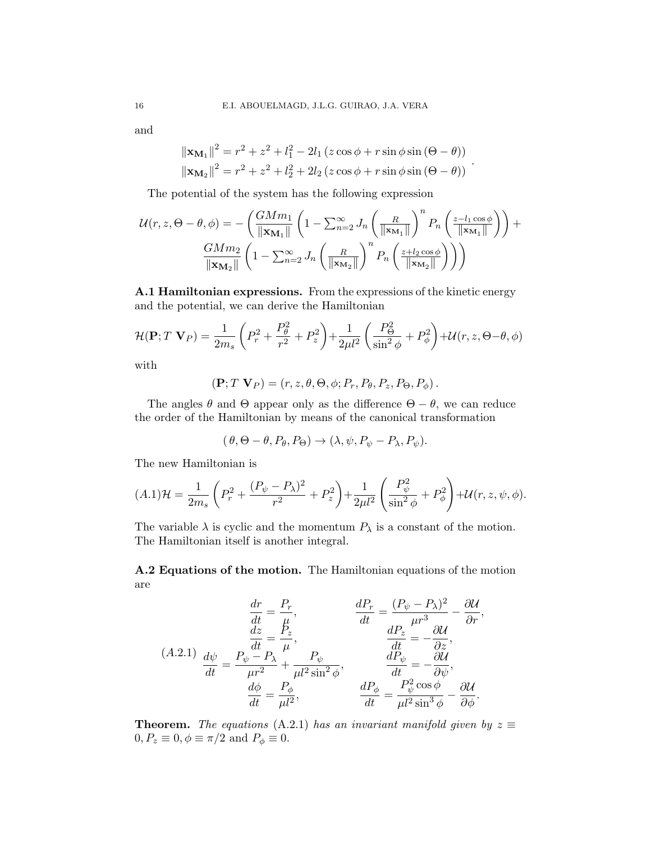and

$$
\|\mathbf{x}_{\mathbf{M}_1}\|^2 = r^2 + z^2 + l_1^2 - 2l_1(z\cos\phi + r\sin\phi\sin(\Theta - \theta))
$$
  

$$
\|\mathbf{x}_{\mathbf{M}_2}\|^2 = r^2 + z^2 + l_2^2 + 2l_2(z\cos\phi + r\sin\phi\sin(\Theta - \theta)).
$$

The potential of the system has the following expression

$$
\mathcal{U}(r,z,\Theta-\theta,\phi) = -\left(\frac{GMm_1}{\|\mathbf{x}_{\mathbf{M}_1}\|}\left(1-\sum_{n=2}^{\infty}J_n\left(\frac{R}{\|\mathbf{x}_{\mathbf{M}_1}\|}\right)^nP_n\left(\frac{z-l_1\cos\phi}{\|\mathbf{x}_{\mathbf{M}_1}\|}\right)\right) + \frac{GMm_2}{\|\mathbf{x}_{\mathbf{M}_2}\|}\left(1-\sum_{n=2}^{\infty}J_n\left(\frac{R}{\|\mathbf{x}_{\mathbf{M}_2}\|}\right)^nP_n\left(\frac{z+l_2\cos\phi}{\|\mathbf{x}_{\mathbf{M}_2}\|}\right)\right)\right)
$$

A.1 Hamiltonian expressions. From the expressions of the kinetic energy and the potential, we can derive the Hamiltonian

$$
\mathcal{H}(\mathbf{P};T\ \mathbf{V}_P) = \frac{1}{2m_s} \left( P_r^2 + \frac{P_\theta^2}{r^2} + P_z^2 \right) + \frac{1}{2\mu l^2} \left( \frac{P_\Theta^2}{\sin^2 \phi} + P_\phi^2 \right) + \mathcal{U}(r,z,\Theta-\theta,\phi)
$$

with

$$
(\mathbf{P};T\mathbf{V}_P)=(r,z,\theta,\Theta,\phi;P_r,P_\theta,P_z,P_\Theta,P_\phi).
$$

The angles  $\theta$  and  $\Theta$  appear only as the difference  $\Theta - \theta$ , we can reduce the order of the Hamiltonian by means of the canonical transformation

$$
(\theta, \Theta - \theta, P_{\theta}, P_{\Theta}) \rightarrow (\lambda, \psi, P_{\psi} - P_{\lambda}, P_{\psi}).
$$

The new Hamiltonian is

$$
(A.1)\mathcal{H} = \frac{1}{2m_s} \left( P_r^2 + \frac{(P_\psi - P_\lambda)^2}{r^2} + P_z^2 \right) + \frac{1}{2\mu l^2} \left( \frac{P_\psi^2}{\sin^2 \phi} + P_\phi^2 \right) + \mathcal{U}(r, z, \psi, \phi).
$$

The variable  $\lambda$  is cyclic and the momentum  $P_{\lambda}$  is a constant of the motion. The Hamiltonian itself is another integral.

A.2 Equations of the motion. The Hamiltonian equations of the motion are

$$
\frac{dr}{dt} = \frac{P_r}{\mu}, \qquad \frac{dP_r}{dt} = \frac{(P_{\psi} - P_{\lambda})^2}{\mu r^3} - \frac{\partial U}{\partial r},
$$
\n
$$
(A.2.1) \frac{d\psi}{dt} = \frac{P_{\psi} - P_{\lambda}}{\mu r^2} + \frac{P_{\psi}}{\mu l^2 \sin^2 \phi}, \qquad \frac{dP_{\psi}}{dt} = -\frac{\partial U}{\partial \psi},
$$
\n
$$
\frac{d\phi}{dt} = \frac{P_{\phi}}{\mu l^2}, \qquad \frac{dP_{\phi}}{dt} = \frac{P_{\psi}^2 \cos \phi}{\mu l^2 \sin^3 \phi} - \frac{\partial U}{\partial \phi}.
$$

**Theorem.** The equations (A.2.1) has an invariant manifold given by  $z \equiv$  $0, P_z \equiv 0, \phi \equiv \pi/2$  and  $P_{\phi} \equiv 0$ .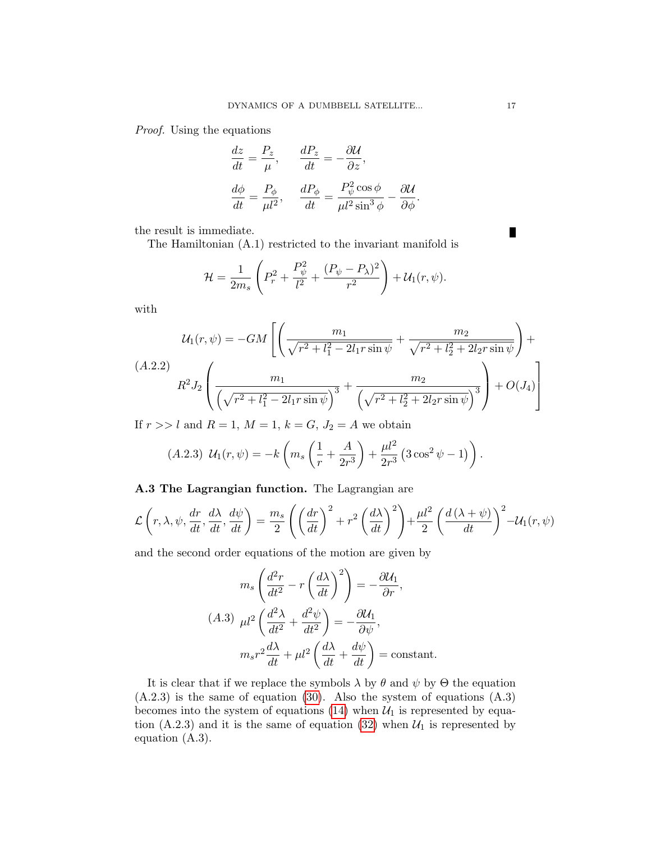Proof. Using the equations

$$
\frac{dz}{dt} = \frac{P_z}{\mu}, \qquad \frac{dP_z}{dt} = -\frac{\partial \mathcal{U}}{\partial z},
$$

$$
\frac{d\phi}{dt} = \frac{P_\phi}{\mu l^2}, \qquad \frac{dP_\phi}{dt} = \frac{P_\psi^2 \cos \phi}{\mu l^2 \sin^3 \phi} - \frac{\partial \mathcal{U}}{\partial \phi}.
$$

the result is immediate.

The Hamiltonian (A.1) restricted to the invariant manifold is

$$
\mathcal{H} = \frac{1}{2m_s} \left( P_r^2 + \frac{P_\psi^2}{l^2} + \frac{(P_\psi - P_\lambda)^2}{r^2} \right) + \mathcal{U}_1(r, \psi).
$$

with

$$
U_1(r,\psi) = -GM \left[ \left( \frac{m_1}{\sqrt{r^2 + l_1^2 - 2l_1r\sin\psi}} + \frac{m_2}{\sqrt{r^2 + l_2^2 + 2l_2r\sin\psi}} \right) + \frac{m_1}{R^2 J_2} \left( \frac{m_1}{\left( \sqrt{r^2 + l_1^2 - 2l_1r\sin\psi} \right)^3} + \frac{m_2}{\left( \sqrt{r^2 + l_2^2 + 2l_2r\sin\psi} \right)^3} \right) + O(J_4) \right]
$$

If  $r >> l$  and  $R = 1, M = 1, k = G, J_2 = A$  we obtain

$$
(A.2.3) \ \mathcal{U}_1(r,\psi) = -k \left( m_s \left( \frac{1}{r} + \frac{A}{2r^3} \right) + \frac{\mu l^2}{2r^3} \left( 3 \cos^2 \psi - 1 \right) \right).
$$

## A.3 The Lagrangian function. The Lagrangian are

$$
\mathcal{L}\left(r,\lambda,\psi,\frac{dr}{dt},\frac{d\lambda}{dt},\frac{d\psi}{dt}\right) = \frac{m_s}{2}\left(\left(\frac{dr}{dt}\right)^2 + r^2\left(\frac{d\lambda}{dt}\right)^2\right) + \frac{\mu l^2}{2}\left(\frac{d\left(\lambda+\psi\right)}{dt}\right)^2 - \mathcal{U}_1(r,\psi)
$$

and the second order equations of the motion are given by

$$
m_s \left(\frac{d^2r}{dt^2} - r\left(\frac{d\lambda}{dt}\right)^2\right) = -\frac{\partial \mathcal{U}_1}{\partial r},
$$
  
(A.3) 
$$
\mu l^2 \left(\frac{d^2\lambda}{dt^2} + \frac{d^2\psi}{dt^2}\right) = -\frac{\partial \mathcal{U}_1}{\partial \psi},
$$

$$
m_s r^2 \frac{d\lambda}{dt} + \mu l^2 \left(\frac{d\lambda}{dt} + \frac{d\psi}{dt}\right) = \text{constant}.
$$

It is clear that if we replace the symbols  $\lambda$  by  $\theta$  and  $\psi$  by  $\Theta$  the equation (A.2.3) is the same of equation [\(30\)](#page-12-4). Also the system of equations (A.3) becomes into the system of equations [\(14\)](#page-5-6) when  $\mathcal{U}_1$  is represented by equa-tion (A.2.3) and it is the same of equation [\(32\)](#page-12-2) when  $\mathcal{U}_1$  is represented by equation (A.3).

П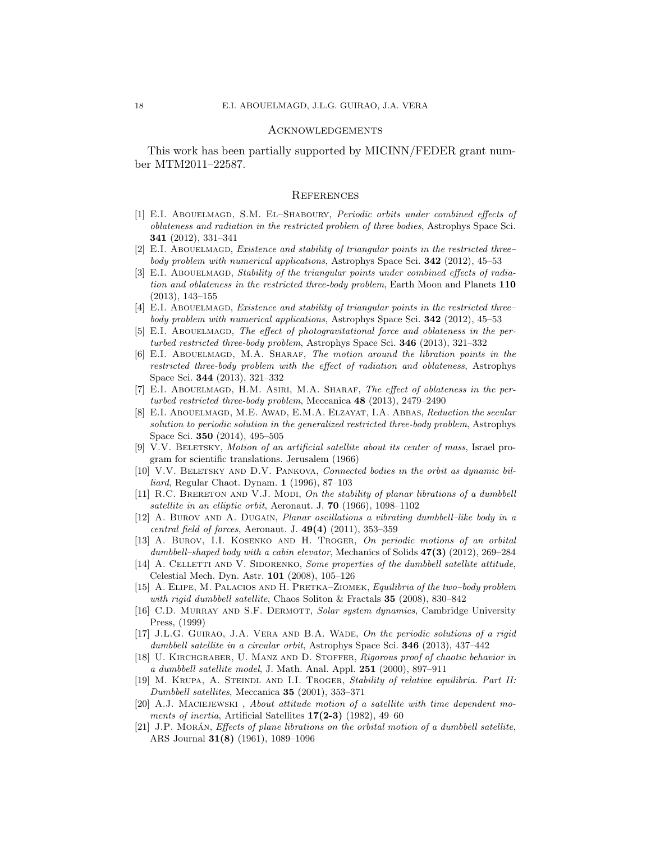#### Acknowledgements

This work has been partially supported by MICINN/FEDER grant number MTM2011–22587.

#### **REFERENCES**

- <span id="page-17-13"></span>[1] E.I. Abouelmagd, S.M. El–Shaboury, Periodic orbits under combined effects of oblateness and radiation in the restricted problem of three bodies, Astrophys Space Sci. 341 (2012), 331–341
- <span id="page-17-14"></span>[2] E.I. Abouelmagd, Existence and stability of triangular points in the restricted three– body problem with numerical applications, Astrophys Space Sci.  $342$  (2012), 45–53
- <span id="page-17-15"></span>[3] E.I. ABOUELMAGD, Stability of the triangular points under combined effects of radiation and oblateness in the restricted three-body problem, Earth Moon and Planets 110 (2013), 143–155
- <span id="page-17-16"></span>[4] E.I. Abouelmagd, Existence and stability of triangular points in the restricted three– body problem with numerical applications, Astrophys Space Sci. 342 (2012), 45–53
- <span id="page-17-17"></span>[5] E.I. ABOUELMAGD, The effect of photogravitational force and oblateness in the perturbed restricted three-body problem, Astrophys Space Sci. 346 (2013), 321–332
- <span id="page-17-18"></span>[6] E.I. ABOUELMAGD, M.A. SHARAF, The motion around the libration points in the restricted three-body problem with the effect of radiation and oblateness, Astrophys Space Sci. 344 (2013), 321–332
- <span id="page-17-19"></span>[7] E.I. ABOUELMAGD, H.M. ASIRI, M.A. SHARAF, The effect of oblateness in the perturbed restricted three-body problem, Meccanica 48 (2013), 2479–2490
- <span id="page-17-20"></span>[8] E.I. ABOUELMAGD, M.E. AWAD, E.M.A. ELZAYAT, I.A. ABBAS, Reduction the secular solution to periodic solution in the generalized restricted three-body problem, Astrophys Space Sci. 350 (2014), 495–505
- <span id="page-17-3"></span>[9] V.V. BELETSKY, Motion of an artificial satellite about its center of mass, Israel program for scientific translations. Jerusalem (1966)
- <span id="page-17-2"></span>[10] V.V. BELETSKY AND D.V. PANKOVA, Connected bodies in the orbit as dynamic billiard, Regular Chaot. Dynam. 1 (1996), 87–103
- <span id="page-17-1"></span> $[11]$  R.C. BRERETON AND V.J. MODI, On the stability of planar librations of a dumbbell satellite in an elliptic orbit, Aeronaut. J. 70 (1966), 1098–1102
- <span id="page-17-8"></span>[12] A. BUROV AND A. DUGAIN, Planar oscillations a vibrating dumbbell–like body in a central field of forces, Aeronaut. J.  $49(4)$  (2011), 353-359
- <span id="page-17-10"></span>[13] A. Burov, I.I. Kosenko and H. Troger, On periodic motions of an orbital dumbbell–shaped body with a cabin elevator, Mechanics of Solids  $47(3)$  (2012), 269–284
- <span id="page-17-9"></span>[14] A. CELLETTI AND V. SIDORENKO, Some properties of the dumbbell satellite attitude, Celestial Mech. Dyn. Astr. 101 (2008), 105–126
- <span id="page-17-7"></span>[15] A. ELIPE, M. PALACIOS AND H. PRETKA–ZIOMEK, Equilibria of the two–body problem with rigid dumbbell satellite, Chaos Soliton & Fractals **35** (2008), 830–842
- <span id="page-17-12"></span>[16] C.D. MURRAY AND S.F. DERMOTT, Solar system dynamics, Cambridge University Press, (1999)
- <span id="page-17-11"></span>[17] J.L.G. Guirao, J.A. Vera and B.A. Wade, On the periodic solutions of a rigid dumbbell satellite in a circular orbit, Astrophys Space Sci. 346 (2013), 437–442
- <span id="page-17-5"></span>[18] U. Kirchgraber, U. Manz and D. Stoffer, Rigorous proof of chaotic behavior in a dumbbell satellite model, J. Math. Anal. Appl. 251 (2000), 897–911
- <span id="page-17-6"></span>[19] M. KRUPA, A. STEINDL AND I.I. TROGER, Stability of relative equilibria. Part II: Dumbbell satellites, Meccanica 35 (2001), 353–371
- <span id="page-17-4"></span>[20] A.J. MACIEJEWSKI, About attitude motion of a satellite with time dependent moments of inertia, Artificial Satellites  $17(2-3)$  (1982), 49–60
- <span id="page-17-0"></span> $[21]$  J.P. MORÁN, *Effects of plane librations on the orbital motion of a dumbbell satellite*, ARS Journal 31(8) (1961), 1089–1096